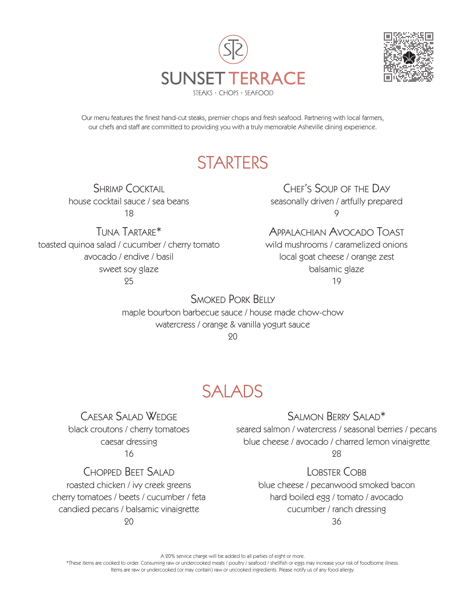



Our menu features the finest hand-cut steaks, premier chops and fresh seafood. Partnering with local farmers, our chefs and staff are committed to providing you with a truly memorable Asheville dining experience.

## **STARTERS**

SHRIMP COCKTAIL house cocktail sauce / sea beans 18

Chef's Soup of the Day seasonally driven / artfully prepared 9

Tuna Tartare\* toasted quinoa salad / cucumber / cherry tomato avocado / endive / basil sweet soy glaze 25

Appalachian Avocado Toast

wild mushrooms / caramelized onions local goat cheese / orange zest balsamic glaze 19

Smoked Pork Belly

maple bourbon barbecue sauce / house made chow-chow watercress / orange & vanilla yogurt sauce 20

# SALADS

### CAESAR SALAD WEDGE

black croutons / cherry tomatoes caesar dressing 16

#### Chopped Beet Salad

roasted chicken / ivy creek greens cherry tomatoes / beets / cucumber / feta candied pecans / balsamic vinaigrette 20

Salmon Berry Salad\*

seared salmon / watercress / seasonal berries / pecans blue cheese / avocado / charred lemon vinaigrette 98

#### LOBSTER COBB

blue cheese / pecanwood smoked bacon hard boiled egg / tomato / avocado cucumber / ranch dressing 36

A 20% service charge will be added to all parties of eight or more.

\*These items are cooked to order. Consuming raw or undercooked meats / poultry / seafood / shellfish or eggs may increase your risk of foodborne illness. Items are raw or undercooked (or may contain) raw or uncooked ingredients. Please notify us of any food allergy.